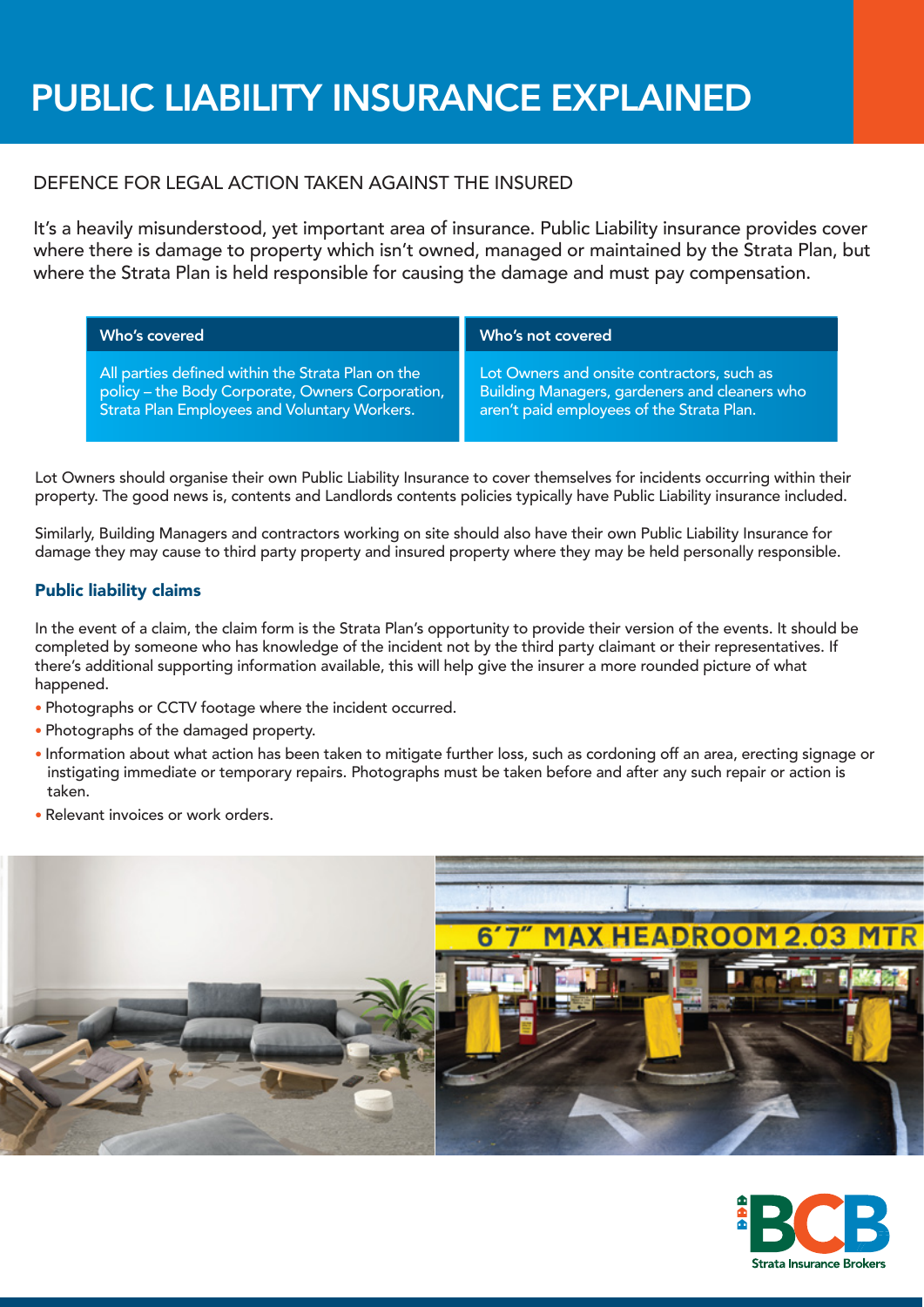# PUBLIC LIABILITY INSURANCE EXPLAINED

## DEFENCE FOR LEGAL ACTION TAKEN AGAINST THE INSURED

It's a heavily misunderstood, yet important area of insurance. Public Liability insurance provides cover where there is damage to property which isn't owned, managed or maintained by the Strata Plan, but where the Strata Plan is held responsible for causing the damage and must pay compensation.

| Who's covered                                     | Who's not covered                                    |
|---------------------------------------------------|------------------------------------------------------|
| All parties defined within the Strata Plan on the | Lot Owners and onsite contractors, such as           |
| policy - the Body Corporate, Owners Corporation,  | <b>Building Managers, gardeners and cleaners who</b> |
| Strata Plan Employees and Voluntary Workers.      | aren't paid employees of the Strata Plan.            |

Lot Owners should organise their own Public Liability Insurance to cover themselves for incidents occurring within their property. The good news is, contents and Landlords contents policies typically have Public Liability insurance included.

Similarly, Building Managers and contractors working on site should also have their own Public Liability Insurance for damage they may cause to third party property and insured property where they may be held personally responsible.

## Public liability claims

In the event of a claim, the claim form is the Strata Plan's opportunity to provide their version of the events. It should be completed by someone who has knowledge of the incident not by the third party claimant or their representatives. If there's additional supporting information available, this will help give the insurer a more rounded picture of what happened.

- Photographs or CCTV footage where the incident occurred.
- Photographs of the damaged property.
- Information about what action has been taken to mitigate further loss, such as cordoning off an area, erecting signage or instigating immediate or temporary repairs. Photographs must be taken before and after any such repair or action is taken.
- Relevant invoices or work orders.